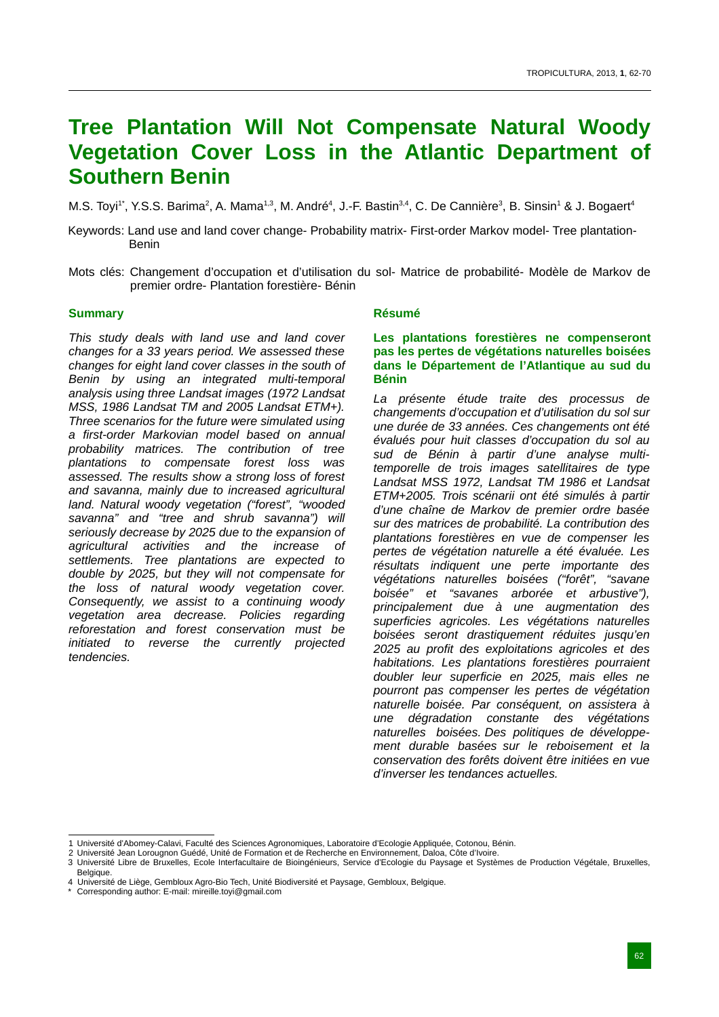# **Tree Plantation Will Not Compensate Natural Woody Vegetation Cover Loss in the Atlantic Department of Southern Benin**

M.S. Toyi<sup>1\*</sup>, Y.S.S. Barima<sup>2</sup>, A. Mama<sup>1,3</sup>, M. André<sup>4</sup>, J.-F. Bastin<sup>3,4</sup>, C. De Cannière<sup>3</sup>, B. Sinsin<sup>1</sup> & J. Bogaert<sup>4</sup>

- Keywords: Land use and land cover change- Probability matrix- First-order Markov model- Tree plantation-Benin
- Mots clés: Changement d'occupation et d'utilisation du sol- Matrice de probabilité- Modèle de Markov de premier ordre- Plantation forestière- Bénin

## **Summary**

*This study deals with land use and land cover changes for a 33 years period. We assessed these changes for eight land cover classes in the south of Benin by using an integrated multi-temporal analysis using three Landsat images (1972 Landsat MSS, 1986 Landsat TM and 2005 Landsat ETM+). Three scenarios for the future were simulated using a first-order Markovian model based on annual probability matrices. The contribution of tree plantations to compensate forest loss was assessed. The results show a strong loss of forest and savanna, mainly due to increased agricultural land. Natural woody vegetation ("forest", "wooded savanna" and "tree and shrub savanna") will seriously decrease by 2025 due to the expansion of agricultural activities and the increase of settlements. Tree plantations are expected to double by 2025, but they will not compensate for the loss of natural woody vegetation cover. Consequently, we assist to a continuing woody vegetation area decrease. Policies regarding reforestation and forest conservation must be initiated to reverse the currently projected tendencies.*

## **Résumé**

### **Les plantations forestières ne compenseront pas les pertes de végétations naturelles boisées dans le Département de l'Atlantique au sud du Bénin**

*La présente étude traite des processus de changements d'occupation et d'utilisation du sol sur une durée de 33 années. Ces changements ont été évalués pour huit classes d'occupation du sol au sud de Bénin à partir d'une analyse multitemporelle de trois images satellitaires de type Landsat MSS 1972, Landsat TM 1986 et Landsat ETM+2005. Trois scénarii ont été simulés à partir d'une chaîne de Markov de premier ordre basée sur des matrices de probabilité. La contribution des plantations forestières en vue de compenser les pertes de végétation naturelle a été évaluée. Les résultats indiquent une perte importante des végétations naturelles boisées ("forêt", "savane boisée" et "savanes arborée et arbustive"), principalement due à une augmentation des superficies agricoles. Les végétations naturelles boisées seront drastiquement réduites jusqu'en 2025 au profit des exploitations agricoles et des habitations. Les plantations forestières pourraient doubler leur superficie en 2025, mais elles ne pourront pas compenser les pertes de végétation naturelle boisée. Par conséquent, on assistera à une dégradation constante des végétations naturelles boisées. Des politiques de développement durable basées sur le reboisement et la conservation des forêts doivent être initiées en vue d'inverser les tendances actuelles.* 

<sup>1</sup> Université d'Abomey-Calavi, Faculté des Sciences Agronomiques, Laboratoire d'Ecologie Appliquée, Cotonou, Bénin.

<sup>2</sup> Université Jean Lorougnon Guédé, Unité de Formation et de Recherche en Environnement, Daloa, Côte d'Ivoire.

<sup>3</sup> Université Libre de Bruxelles, Ecole Interfacultaire de Bioingénieurs, Service d'Ecologie du Paysage et Systèmes de Production Végétale, Bruxelles, Belgique.

<sup>4</sup> Université de Liège, Gembloux Agro-Bio Tech, Unité Biodiversité et Paysage, Gembloux, Belgique.

Corresponding author: E-mail: mireille.toyi@gmail.com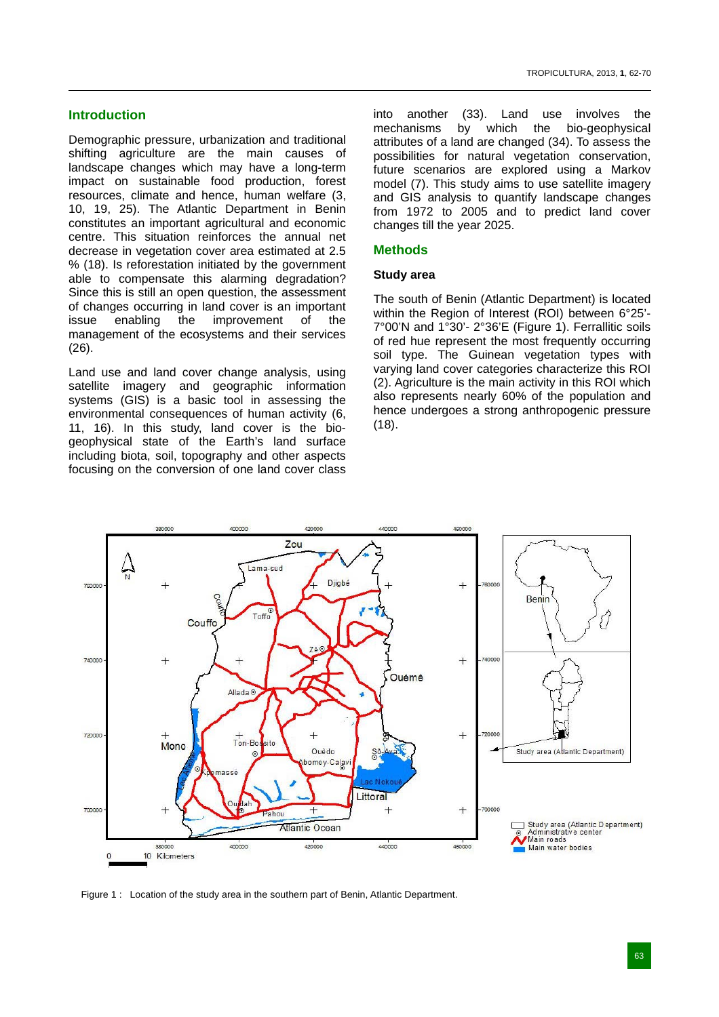# **Introduction**

Demographic pressure, urbanization and traditional shifting agriculture are the main causes of landscape changes which may have a long-term impact on sustainable food production, forest resources, climate and hence, human welfare (3, 10, 19, 25). The Atlantic Department in Benin constitutes an important agricultural and economic centre. This situation reinforces the annual net decrease in vegetation cover area estimated at 2.5 % (18). Is reforestation initiated by the government able to compensate this alarming degradation? Since this is still an open question, the assessment of changes occurring in land cover is an important issue enabling the improvement of the management of the ecosystems and their services (26).

Land use and land cover change analysis, using satellite imagery and geographic information systems (GIS) is a basic tool in assessing the environmental consequences of human activity (6, 11, 16). In this study, land cover is the biogeophysical state of the Earth's land surface including biota, soil, topography and other aspects focusing on the conversion of one land cover class into another (33). Land use involves the mechanisms by which the bio-geophysical attributes of a land are changed (34). To assess the possibilities for natural vegetation conservation, future scenarios are explored using a Markov model (7). This study aims to use satellite imagery and GIS analysis to quantify landscape changes from 1972 to 2005 and to predict land cover changes till the year 2025.

# **Methods**

## **Study area**

The south of Benin (Atlantic Department) is located within the Region of Interest (ROI) between 6°25'-7°00'N and 1°30'- 2°36'E (Figure 1). Ferrallitic soils of red hue represent the most frequently occurring soil type. The Guinean vegetation types with varying land cover categories characterize this ROI (2). Agriculture is the main activity in this ROI which also represents nearly 60% of the population and hence undergoes a strong anthropogenic pressure (18).



Figure 1 : Location of the study area in the southern part of Benin, Atlantic Department.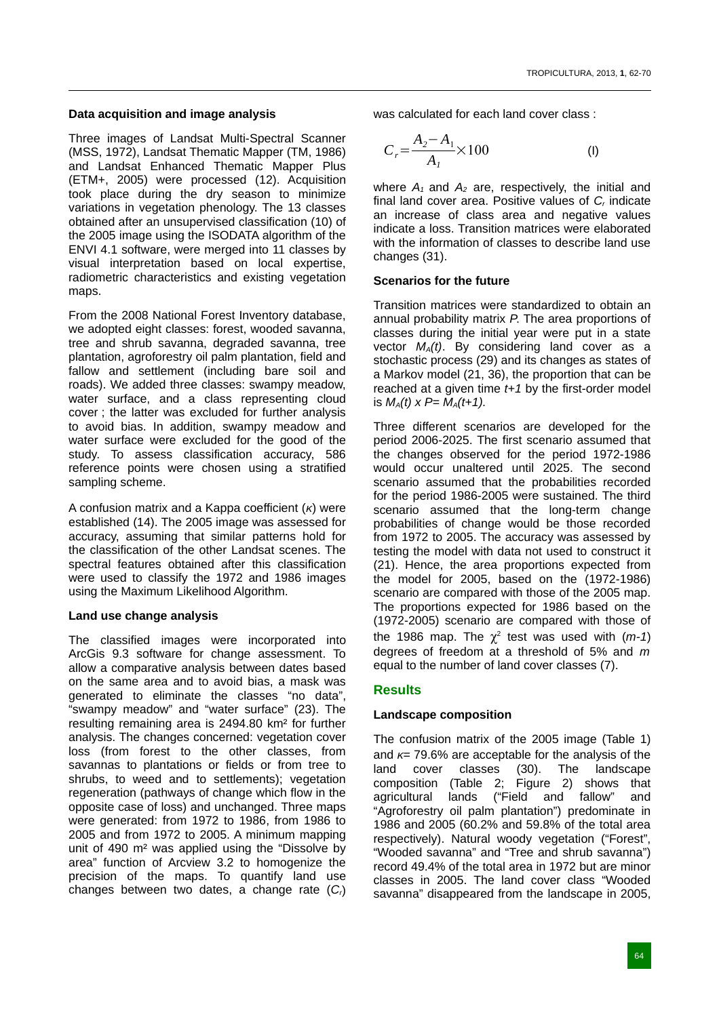# **Data acquisition and image analysis**

Three images of Landsat Multi-Spectral Scanner (MSS, 1972), Landsat Thematic Mapper (TM, 1986) and Landsat Enhanced Thematic Mapper Plus (ETM+, 2005) were processed (12). Acquisition took place during the dry season to minimize variations in vegetation phenology. The 13 classes obtained after an unsupervised classification (10) of the 2005 image using the ISODATA algorithm of the ENVI 4.1 software, were merged into 11 classes by visual interpretation based on local expertise, radiometric characteristics and existing vegetation maps.

From the 2008 National Forest Inventory database, we adopted eight classes: forest, wooded savanna, tree and shrub savanna, degraded savanna, tree plantation, agroforestry oil palm plantation, field and fallow and settlement (including bare soil and roads). We added three classes: swampy meadow, water surface, and a class representing cloud cover ; the latter was excluded for further analysis to avoid bias. In addition, swampy meadow and water surface were excluded for the good of the study. To assess classification accuracy, 586 reference points were chosen using a stratified sampling scheme.

A confusion matrix and a Kappa coefficient (*κ*) were established (14). The 2005 image was assessed for accuracy, assuming that similar patterns hold for the classification of the other Landsat scenes. The spectral features obtained after this classification were used to classify the 1972 and 1986 images using the Maximum Likelihood Algorithm.

# **Land use change analysis**

The classified images were incorporated into ArcGis 9.3 software for change assessment. To allow a comparative analysis between dates based on the same area and to avoid bias, a mask was generated to eliminate the classes "no data", "swampy meadow" and "water surface" (23). The resulting remaining area is 2494.80 km² for further analysis. The changes concerned: vegetation cover loss (from forest to the other classes, from savannas to plantations or fields or from tree to shrubs, to weed and to settlements); vegetation regeneration (pathways of change which flow in the opposite case of loss) and unchanged. Three maps were generated: from 1972 to 1986, from 1986 to 2005 and from 1972 to 2005. A minimum mapping unit of 490 m² was applied using the "Dissolve by area" function of Arcview 3.2 to homogenize the precision of the maps. To quantify land use changes between two dates, a change rate (*Cr*)

was calculated for each land cover class :

$$
C_r = \frac{A_2 - A_1}{A_1} \times 100
$$
 (I)

where  $A_1$  and  $A_2$  are, respectively, the initial and final land cover area. Positive values of *Cr* indicate an increase of class area and negative values indicate a loss. Transition matrices were elaborated with the information of classes to describe land use changes (31).

## **Scenarios for the future**

Transition matrices were standardized to obtain an annual probability matrix *P*. The area proportions of classes during the initial year were put in a state vector *MA(t)*. By considering land cover as a stochastic process (29) and its changes as states of a Markov model (21, 36), the proportion that can be reached at a given time *t+1* by the first-order model is  $M_A(t)$  x  $P = M_A(t+1)$ .

Three different scenarios are developed for the period 2006-2025. The first scenario assumed that the changes observed for the period 1972-1986 would occur unaltered until 2025. The second scenario assumed that the probabilities recorded for the period 1986-2005 were sustained. The third scenario assumed that the long-term change probabilities of change would be those recorded from 1972 to 2005. The accuracy was assessed by testing the model with data not used to construct it (21). Hence, the area proportions expected from the model for 2005, based on the (1972-1986) scenario are compared with those of the 2005 map. The proportions expected for 1986 based on the (1972-2005) scenario are compared with those of the 1986 map. The  $\chi^2$  test was used with  $(m-1)$ degrees of freedom at a threshold of 5% and *m*  equal to the number of land cover classes (7).

# **Results**

# **Landscape composition**

The confusion matrix of the 2005 image (Table 1) and *κ*= 79.6% are acceptable for the analysis of the land cover classes (30). The landscape composition (Table 2; Figure 2) shows that agricultural lands ("Field and fallow" and "Agroforestry oil palm plantation") predominate in 1986 and 2005 (60.2% and 59.8% of the total area respectively). Natural woody vegetation ("Forest", "Wooded savanna" and "Tree and shrub savanna") record 49.4% of the total area in 1972 but are minor classes in 2005. The land cover class "Wooded savanna" disappeared from the landscape in 2005,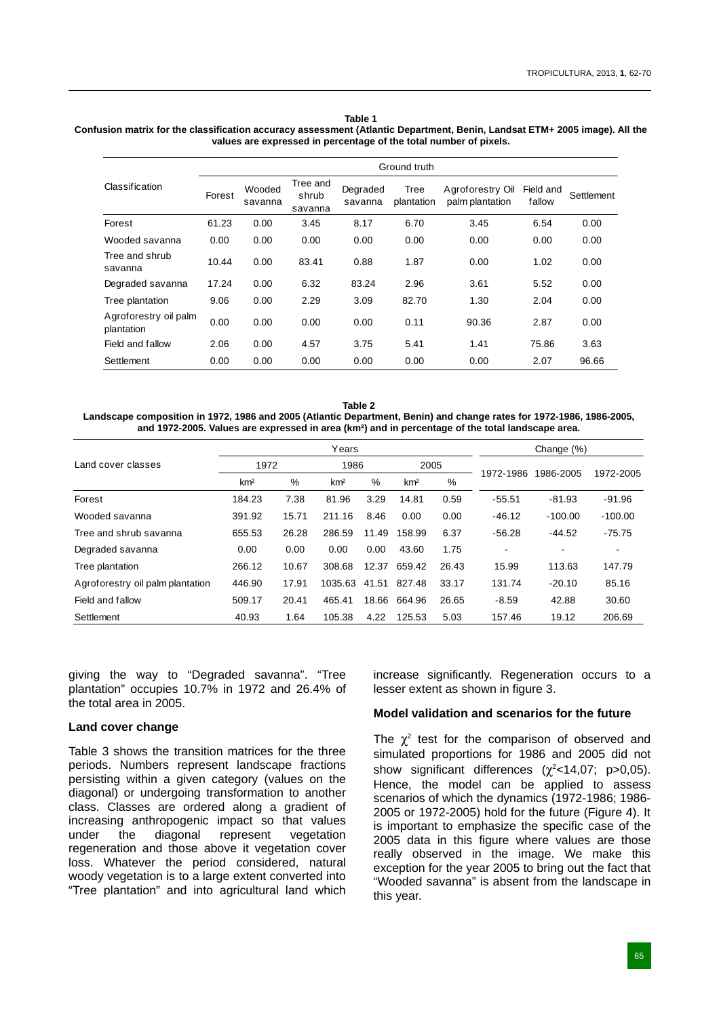#### **Table 1**

#### **Confusion matrix for the classification accuracy assessment (Atlantic Department, Benin, Landsat ETM+ 2005 image). All the values are expressed in percentage of the total number of pixels.**

|                                     | Ground truth |                   |                              |                     |                    |                                     |                     |            |  |  |
|-------------------------------------|--------------|-------------------|------------------------------|---------------------|--------------------|-------------------------------------|---------------------|------------|--|--|
| Classification                      | Forest       | Wooded<br>savanna | Tree and<br>shrub<br>savanna | Degraded<br>savanna | Tree<br>plantation | Agroforestry Oil<br>palm plantation | Field and<br>fallow | Settlement |  |  |
| Forest                              | 61.23        | 0.00              | 3.45                         | 8.17                | 6.70               | 3.45                                | 6.54                | 0.00       |  |  |
| Wooded savanna                      | 0.00         | 0.00              | 0.00                         | 0.00                | 0.00               | 0.00                                | 0.00                | 0.00       |  |  |
| Tree and shrub<br>savanna           | 10.44        | 0.00              | 83.41                        | 0.88                | 1.87               | 0.00                                | 1.02                | 0.00       |  |  |
| Degraded savanna                    | 17.24        | 0.00              | 6.32                         | 83.24               | 2.96               | 3.61                                | 5.52                | 0.00       |  |  |
| Tree plantation                     | 9.06         | 0.00              | 2.29                         | 3.09                | 82.70              | 1.30                                | 2.04                | 0.00       |  |  |
| Agroforestry oil palm<br>plantation | 0.00         | 0.00              | 0.00                         | 0.00                | 0.11               | 90.36                               | 2.87                | 0.00       |  |  |
| Field and fallow                    | 2.06         | 0.00              | 4.57                         | 3.75                | 5.41               | 1.41                                | 75.86               | 3.63       |  |  |
| Settlement                          | 0.00         | 0.00              | 0.00                         | 0.00                | 0.00               | 0.00                                | 2.07                | 96.66      |  |  |

**Table 2 Landscape composition in 1972, 1986 and 2005 (Atlantic Department, Benin) and change rates for 1972-1986, 1986-2005, and 1972-2005. Values are expressed in area (km²) and in percentage of the total landscape area.**

|                                  |                 |       | Years           | Change $(\%)$ |                 |       |           |           |           |
|----------------------------------|-----------------|-------|-----------------|---------------|-----------------|-------|-----------|-----------|-----------|
| Land cover classes               | 1972            |       | 1986            |               | 2005            |       | 1972-1986 | 1986-2005 |           |
|                                  | km <sup>2</sup> | %     | km <sup>2</sup> | %             | km <sup>2</sup> | %     |           |           | 1972-2005 |
| Forest                           | 184.23          | 7.38  | 81.96           | 3.29          | 14.81           | 0.59  | $-55.51$  | $-81.93$  | -91.96    |
| Wooded savanna                   | 391.92          | 15.71 | 211.16          | 8.46          | 0.00            | 0.00  | $-46.12$  | $-100.00$ | $-100.00$ |
| Tree and shrub savanna           | 655.53          | 26.28 | 286.59          | 11.49         | 158.99          | 6.37  | $-56.28$  | $-44.52$  | $-75.75$  |
| Degraded savanna                 | 0.00            | 0.00  | 0.00            | 0.00          | 43.60           | 1.75  |           | ٠         | ۰         |
| Tree plantation                  | 266.12          | 10.67 | 308.68          | 12.37         | 659.42          | 26.43 | 15.99     | 113.63    | 147.79    |
| Agroforestry oil palm plantation | 446.90          | 17.91 | 1035.63         | 41.51         | 827.48          | 33.17 | 131.74    | $-20.10$  | 85.16     |
| Field and fallow                 | 509.17          | 20.41 | 465.41          | 18.66         | 664.96          | 26.65 | $-8.59$   | 42.88     | 30.60     |
| Settlement                       | 40.93           | 1.64  | 105.38          | 4.22          | 125.53          | 5.03  | 157.46    | 19.12     | 206.69    |

giving the way to "Degraded savanna". "Tree plantation" occupies 10.7% in 1972 and 26.4% of the total area in 2005.

#### **Land cover change**

Table 3 shows the transition matrices for the three periods. Numbers represent landscape fractions persisting within a given category (values on the diagonal) or undergoing transformation to another class. Classes are ordered along a gradient of increasing anthropogenic impact so that values under the diagonal represent vegetation regeneration and those above it vegetation cover loss. Whatever the period considered, natural woody vegetation is to a large extent converted into "Tree plantation" and into agricultural land which

increase significantly. Regeneration occurs to a lesser extent as shown in figure 3.

#### **Model validation and scenarios for the future**

The  $\chi^2$  test for the comparison of observed and simulated proportions for 1986 and 2005 did not show significant differences  $(\chi^2$ <14,07; p>0,05). Hence, the model can be applied to assess scenarios of which the dynamics (1972-1986; 1986- 2005 or 1972-2005) hold for the future (Figure 4). It is important to emphasize the specific case of the 2005 data in this figure where values are those really observed in the image. We make this exception for the year 2005 to bring out the fact that "Wooded savanna" is absent from the landscape in this year.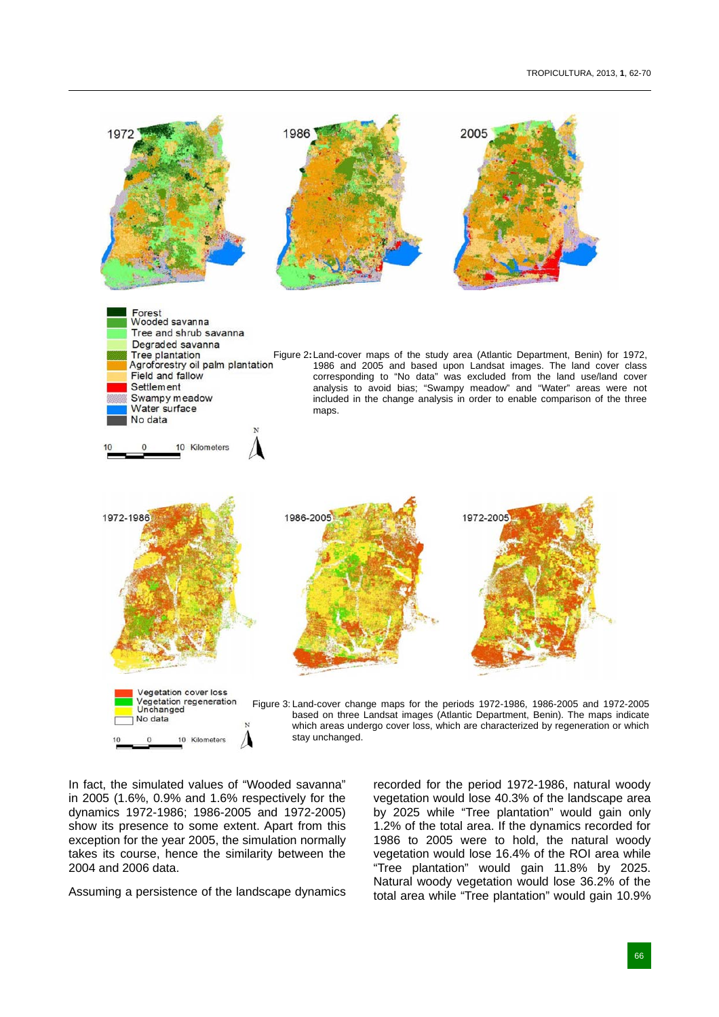

In fact, the simulated values of "Wooded savanna" in 2005 (1.6%, 0.9% and 1.6% respectively for the dynamics 1972-1986; 1986-2005 and 1972-2005) show its presence to some extent. Apart from this exception for the year 2005, the simulation normally takes its course, hence the similarity between the 2004 and 2006 data.

Assuming a persistence of the landscape dynamics

recorded for the period 1972-1986, natural woody vegetation would lose 40.3% of the landscape area by 2025 while "Tree plantation" would gain only 1.2% of the total area. If the dynamics recorded for 1986 to 2005 were to hold, the natural woody vegetation would lose 16.4% of the ROI area while "Tree plantation" would gain 11.8% by 2025. Natural woody vegetation would lose 36.2% of the total area while "Tree plantation" would gain 10.9%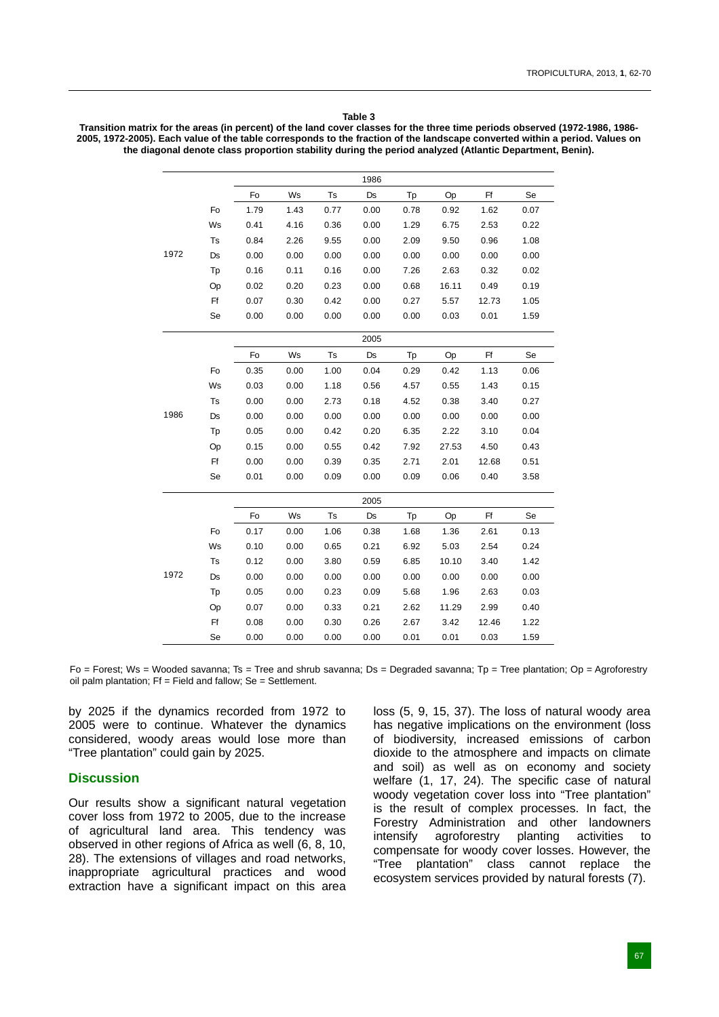#### **Table 3**

**Transition matrix for the areas (in percent) of the land cover classes for the three time periods observed (1972-1986, 1986- 2005, 1972-2005). Each value of the table corresponds to the fraction of the landscape converted within a period. Values on the diagonal denote class proportion stability during the period analyzed (Atlantic Department, Benin).**

|      |    |      |      |      | 1986      |      |       |       |      |
|------|----|------|------|------|-----------|------|-------|-------|------|
|      |    | Fo   | Ws   | Ts   | Ds        | Tp   | Op    | Ff    | Se   |
|      | Fo | 1.79 | 1.43 | 0.77 | 0.00      | 0.78 | 0.92  | 1.62  | 0.07 |
|      | Ws | 0.41 | 4.16 | 0.36 | 0.00      | 1.29 | 6.75  | 2.53  | 0.22 |
|      | Ts | 0.84 | 2.26 | 9.55 | 0.00      | 2.09 | 9.50  | 0.96  | 1.08 |
| 1972 | Ds | 0.00 | 0.00 | 0.00 | 0.00      | 0.00 | 0.00  | 0.00  | 0.00 |
|      | Tp | 0.16 | 0.11 | 0.16 | 0.00      | 7.26 | 2.63  | 0.32  | 0.02 |
|      | Op | 0.02 | 0.20 | 0.23 | 0.00      | 0.68 | 16.11 | 0.49  | 0.19 |
|      | Ff | 0.07 | 0.30 | 0.42 | 0.00      | 0.27 | 5.57  | 12.73 | 1.05 |
|      | Se | 0.00 | 0.00 | 0.00 | 0.00      | 0.00 | 0.03  | 0.01  | 1.59 |
|      |    |      |      |      | 2005      |      |       |       |      |
|      |    | Fo   | Ws   | Ts   | <b>Ds</b> | Tp   | Op    | Ff    | Se   |
|      | Fo | 0.35 | 0.00 | 1.00 | 0.04      | 0.29 | 0.42  | 1.13  | 0.06 |
|      | Ws | 0.03 | 0.00 | 1.18 | 0.56      | 4.57 | 0.55  | 1.43  | 0.15 |
|      | Ts | 0.00 | 0.00 | 2.73 | 0.18      | 4.52 | 0.38  | 3.40  | 0.27 |
| 1986 | Ds | 0.00 | 0.00 | 0.00 | 0.00      | 0.00 | 0.00  | 0.00  | 0.00 |
|      | Tp | 0.05 | 0.00 | 0.42 | 0.20      | 6.35 | 2.22  | 3.10  | 0.04 |
|      | Op | 0.15 | 0.00 | 0.55 | 0.42      | 7.92 | 27.53 | 4.50  | 0.43 |
|      | Ff | 0.00 | 0.00 | 0.39 | 0.35      | 2.71 | 2.01  | 12.68 | 0.51 |
|      | Se | 0.01 | 0.00 | 0.09 | 0.00      | 0.09 | 0.06  | 0.40  | 3.58 |
|      |    |      |      |      | 2005      |      |       |       |      |
|      |    | Fo   | Ws   | Ts   | Ds        | Tp   | Op    | Ff    | Se   |
|      | Fo | 0.17 | 0.00 | 1.06 | 0.38      | 1.68 | 1.36  | 2.61  | 0.13 |
|      | Ws | 0.10 | 0.00 | 0.65 | 0.21      | 6.92 | 5.03  | 2.54  | 0.24 |
|      | Ts | 0.12 | 0.00 | 3.80 | 0.59      | 6.85 | 10.10 | 3.40  | 1.42 |
| 1972 | Ds | 0.00 | 0.00 | 0.00 | 0.00      | 0.00 | 0.00  | 0.00  | 0.00 |
|      | Tp | 0.05 | 0.00 | 0.23 | 0.09      | 5.68 | 1.96  | 2.63  | 0.03 |
|      | Op | 0.07 | 0.00 | 0.33 | 0.21      | 2.62 | 11.29 | 2.99  | 0.40 |
|      | Ff | 0.08 | 0.00 | 0.30 | 0.26      | 2.67 | 3.42  | 12.46 | 1.22 |
|      | Se | 0.00 | 0.00 | 0.00 | 0.00      | 0.01 | 0.01  | 0.03  | 1.59 |

Fo = Forest; Ws = Wooded savanna; Ts = Tree and shrub savanna; Ds = Degraded savanna; Tp = Tree plantation; Op = Agroforestry oil palm plantation;  $Ff = Field$  and fallow;  $Se = Sett$ lement.

by 2025 if the dynamics recorded from 1972 to 2005 were to continue. Whatever the dynamics considered, woody areas would lose more than "Tree plantation" could gain by 2025.

## **Discussion**

Our results show a significant natural vegetation cover loss from 1972 to 2005, due to the increase of agricultural land area. This tendency was observed in other regions of Africa as well (6, 8, 10, 28). The extensions of villages and road networks, inappropriate agricultural practices and wood extraction have a significant impact on this area

loss (5, 9, 15, 37). The loss of natural woody area has negative implications on the environment (loss of biodiversity, increased emissions of carbon dioxide to the atmosphere and impacts on climate and soil) as well as on economy and society welfare (1, 17, 24). The specific case of natural woody vegetation cover loss into "Tree plantation" is the result of complex processes. In fact, the Forestry Administration and other landowners intensify agroforestry planting activities to compensate for woody cover losses. However, the "Tree plantation" class cannot replace the ecosystem services provided by natural forests (7).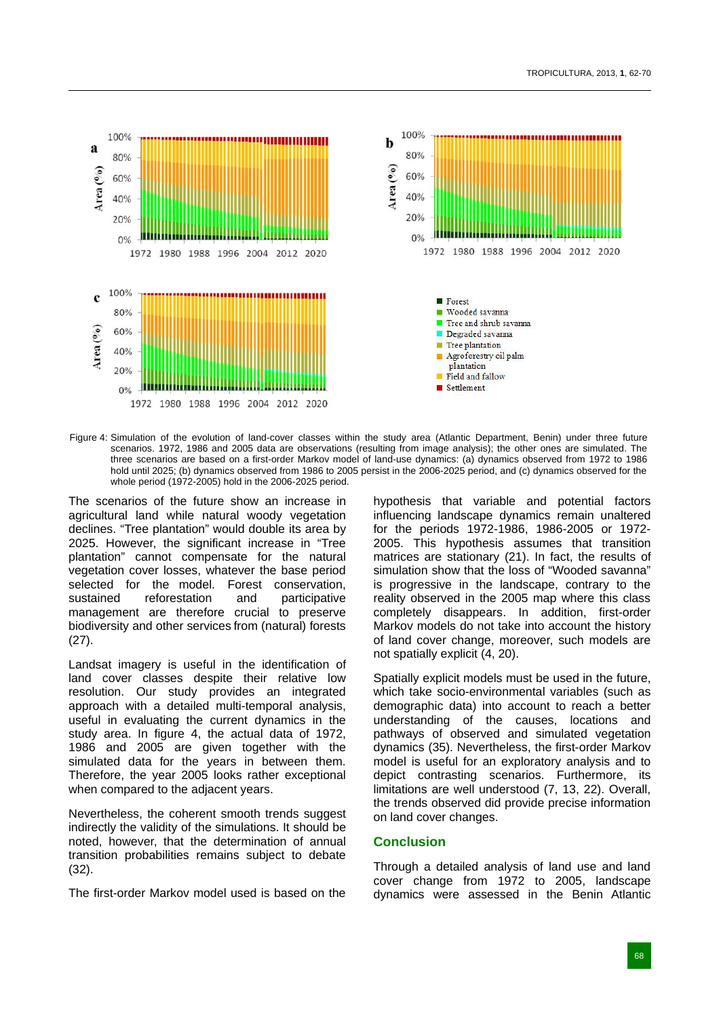

Figure 4: Simulation of the evolution of land-cover classes within the study area (Atlantic Department, Benin) under three future scenarios. 1972, 1986 and 2005 data are observations (resulting from image analysis); the other ones are simulated. The three scenarios are based on a first-order Markov model of land-use dynamics: (a) dynamics observed from 1972 to 1986 hold until 2025; (b) dynamics observed from 1986 to 2005 persist in the 2006-2025 period, and (c) dynamics observed for the whole period (1972-2005) hold in the 2006-2025 period.

The scenarios of the future show an increase in agricultural land while natural woody vegetation declines. "Tree plantation" would double its area by 2025. However, the significant increase in "Tree plantation" cannot compensate for the natural vegetation cover losses, whatever the base period selected for the model. Forest conservation, sustained reforestation and participative management are therefore crucial to preserve biodiversity and other services from (natural) forests (27).

Landsat imagery is useful in the identification of land cover classes despite their relative low resolution. Our study provides an integrated approach with a detailed multi-temporal analysis, useful in evaluating the current dynamics in the study area. In figure 4, the actual data of 1972, 1986 and 2005 are given together with the simulated data for the years in between them. Therefore, the year 2005 looks rather exceptional when compared to the adjacent years.

Nevertheless, the coherent smooth trends suggest indirectly the validity of the simulations. It should be noted, however, that the determination of annual transition probabilities remains subject to debate (32).

The first-order Markov model used is based on the

hypothesis that variable and potential factors influencing landscape dynamics remain unaltered for the periods 1972-1986, 1986-2005 or 1972- 2005. This hypothesis assumes that transition matrices are stationary (21). In fact, the results of simulation show that the loss of "Wooded savanna" is progressive in the landscape, contrary to the reality observed in the 2005 map where this class completely disappears. In addition, first-order Markov models do not take into account the history of land cover change, moreover, such models are not spatially explicit (4, 20).

Spatially explicit models must be used in the future, which take socio-environmental variables (such as demographic data) into account to reach a better understanding of the causes, locations and pathways of observed and simulated vegetation dynamics (35). Nevertheless, the first-order Markov model is useful for an exploratory analysis and to depict contrasting scenarios. Furthermore, its limitations are well understood (7, 13, 22). Overall, the trends observed did provide precise information on land cover changes.

# **Conclusion**

Through a detailed analysis of land use and land cover change from 1972 to 2005, landscape dynamics were assessed in the Benin Atlantic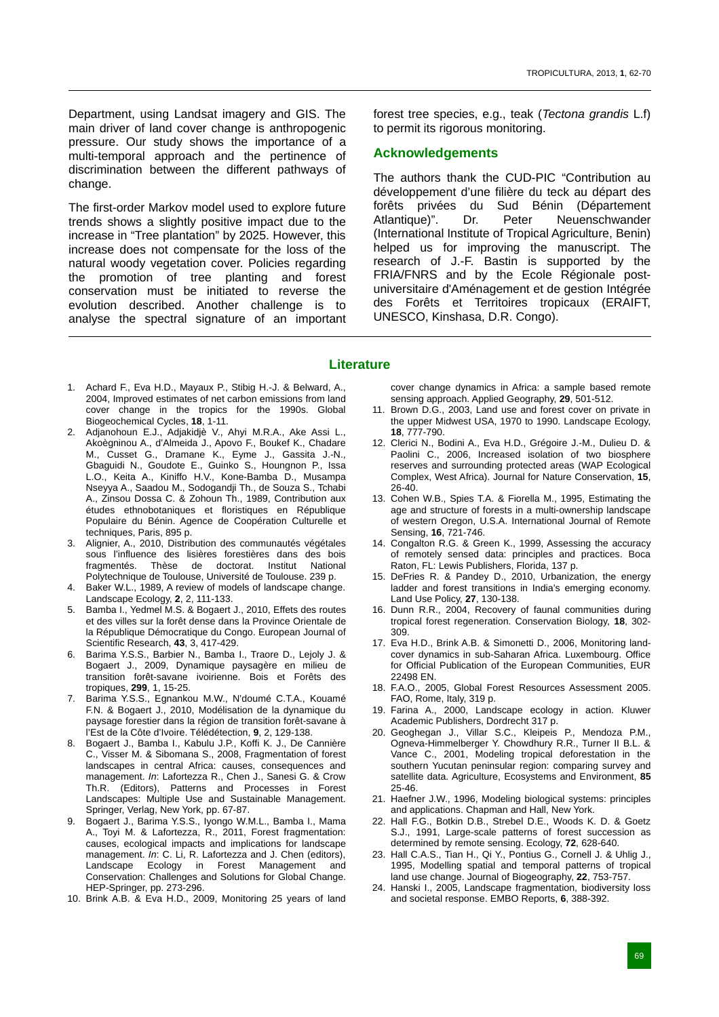Department, using Landsat imagery and GIS. The main driver of land cover change is anthropogenic pressure. Our study shows the importance of a multi-temporal approach and the pertinence of discrimination between the different pathways of change.

The first-order Markov model used to explore future trends shows a slightly positive impact due to the increase in "Tree plantation" by 2025. However, this increase does not compensate for the loss of the natural woody vegetation cover. Policies regarding the promotion of tree planting and forest conservation must be initiated to reverse the evolution described. Another challenge is to analyse the spectral signature of an important

forest tree species, e.g., teak (*Tectona grandis* L.f) to permit its rigorous monitoring.

# **Acknowledgements**

The authors thank the CUD-PIC "Contribution au développement d'une filière du teck au départ des forêts privées du Sud Bénin (Département Atlantique)". Dr. Peter Neuenschwander (International Institute of Tropical Agriculture, Benin) helped us for improving the manuscript. The research of J.-F. Bastin is supported by the FRIA/FNRS and by the Ecole Régionale postuniversitaire d'Aménagement et de gestion Intégrée des Forêts et Territoires tropicaux (ERAIFT, UNESCO, Kinshasa, D.R. Congo).

#### **Literature**

- 1. Achard F., Eva H.D., Mayaux P., Stibig H.-J. & Belward, A., 2004, Improved estimates of net carbon emissions from land cover change in the tropics for the 1990s. Global Biogeochemical Cycles, **18**, 1-11.
- 2. Adjanohoun E.J., Adjakidjè V., Ahyi M.R.A., Ake Assi L., Akoègninou A., d'Almeida J., Apovo F., Boukef K., Chadare M., Cusset G., Dramane K., Eyme J., Gassita J.-N., Gbaguidi N., Goudote E., Guinko S., Houngnon P., Issa L.O., Keita A., Kiniffo H.V., Kone-Bamba D., Musampa Nseyya A., Saadou M., Sodogandji Th., de Souza S., Tchabi A., Zinsou Dossa C. & Zohoun Th., 1989, Contribution aux études ethnobotaniques et floristiques en République Populaire du Bénin. Agence de Coopération Culturelle et techniques, Paris, 895 p.
- 3. Alignier, A., 2010, Distribution des communautés végétales sous l'influence des lisières forestières dans des bois fragmentés. Thèse de doctorat. Institut National Polytechnique de Toulouse, Université de Toulouse. 239 p.
- 4. Baker W.L., 1989, A review of models of landscape change. Landscape Ecology, **2**, 2, 111-133.
- 5. Bamba I., Yedmel M.S. & Bogaert J., 2010, Effets des routes et des villes sur la forêt dense dans la Province Orientale de la République Démocratique du Congo. European Journal of Scientific Research, **43**, 3, 417-429.
- 6. Barima Y.S.S., Barbier N., Bamba I., Traore D., Lejoly J. & Bogaert J., 2009, Dynamique paysagère en milieu de transition forêt-savane ivoirienne. Bois et Forêts des tropiques, **299**, 1, 15-25.
- 7. Barima Y.S.S., Egnankou M.W., N'doumé C.T.A., Kouamé F.N. & Bogaert J., 2010, Modélisation de la dynamique du paysage forestier dans la région de transition forêt-savane à l'Est de la Côte d'Ivoire. Télédétection, **9**, 2, 129-138.
- 8. Bogaert J., Bamba I., Kabulu J.P., Koffi K. J., De Cannière C., Visser M. & Sibomana S., 2008, Fragmentation of forest landscapes in central Africa: causes, consequences and management. *In*: Lafortezza R., Chen J., Sanesi G. & Crow Th.R. (Editors), Patterns and Processes in Forest Landscapes: Multiple Use and Sustainable Management. Springer, Verlag, New York, pp. 67-87.
- 9. Bogaert J., Barima Y.S.S., Iyongo W.M.L., Bamba I., Mama A., Toyi M. & Lafortezza, R., 2011, Forest fragmentation: causes, ecological impacts and implications for landscape management. *In*: C. Li, R. Lafortezza and J. Chen (editors), Landscape Ecology in Forest Management and Conservation: Challenges and Solutions for Global Change. HEP-Springer, pp. 273-296.
- 10. Brink A.B. & Eva H.D., 2009, Monitoring 25 years of land

cover change dynamics in Africa: a sample based remote sensing approach. Applied Geography, **29**, 501-512.

- 11. Brown D.G., 2003, Land use and forest cover on private in the upper Midwest USA, 1970 to 1990. Landscape Ecology, **18**, 777-790.
- 12. Clerici N., Bodini A., Eva H.D., Grégoire J.-M., Dulieu D. & Paolini C., 2006, Increased isolation of two biosphere reserves and surrounding protected areas (WAP Ecological Complex, West Africa). Journal for Nature Conservation, **15**, 26-40.
- 13. Cohen W.B., Spies T.A. & Fiorella M., 1995, Estimating the age and structure of forests in a multi-ownership landscape of western Oregon, U.S.A. International Journal of Remote Sensing, **16**, 721-746.
- 14. Congalton R.G. & Green K., 1999, Assessing the accuracy of remotely sensed data: principles and practices. Boca Raton, FL: Lewis Publishers, Florida, 137 p.
- 15. DeFries R. & Pandey D., 2010, Urbanization, the energy ladder and forest transitions in India's emerging economy. Land Use Policy, **27**, 130-138.
- 16. Dunn R.R., 2004, Recovery of faunal communities during tropical forest regeneration. Conservation Biology, **18**, 302- 309.
- 17. Eva H.D., Brink A.B. & Simonetti D., 2006, Monitoring landcover dynamics in sub-Saharan Africa. Luxembourg. Office for Official Publication of the European Communities, EUR 22498 EN.
- 18. F.A.O., 2005, Global Forest Resources Assessment 2005. FAO, Rome, Italy, 319 p.
- 19. Farina A., 2000, Landscape ecology in action. Kluwer Academic Publishers, Dordrecht 317 p.
- 20. Geoghegan J., Villar S.C., Kleipeis P., Mendoza P.M., Ogneva-Himmelberger Y. Chowdhury R.R., Turner II B.L. & Vance C., 2001, Modeling tropical deforestation in the southern Yucutan peninsular region: comparing survey and satellite data. Agriculture, Ecosystems and Environment, **85**  25-46.
- 21. Haefner J.W., 1996, Modeling biological systems: principles and applications. Chapman and Hall, New York.
- 22. Hall F.G., Botkin D.B., Strebel D.E., Woods K. D. & Goetz S.J., 1991, Large-scale patterns of forest succession as determined by remote sensing. Ecology, **72**, 628-640.
- 23. Hall C.A.S., Tian H., Qi Y., Pontius G., Cornell J. & Uhlig J., 1995, Modelling spatial and temporal patterns of tropical land use change. Journal of Biogeography, **22**, 753-757.
- 24. Hanski I., 2005, Landscape fragmentation, biodiversity loss and societal response. EMBO Reports, **6**, 388-392.